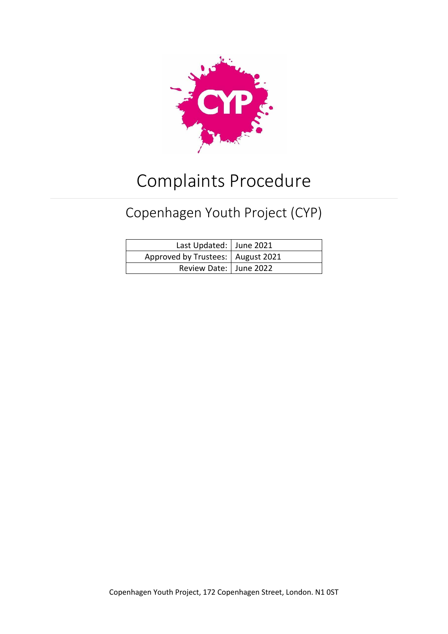

# Complaints Procedure

# Copenhagen Youth Project (CYP)

| Last Updated: June 2021             |  |
|-------------------------------------|--|
| Approved by Trustees:   August 2021 |  |
| Review Date:   June 2022            |  |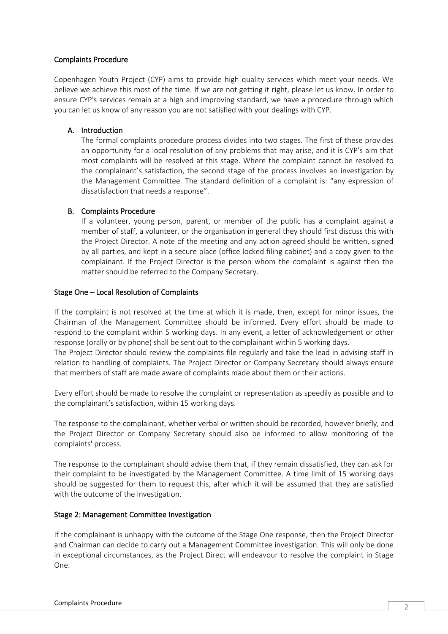#### Complaints Procedure

Copenhagen Youth Project (CYP) aims to provide high quality services which meet your needs. We believe we achieve this most of the time. If we are not getting it right, please let us know. In order to ensure CYP's services remain at a high and improving standard, we have a procedure through which you can let us know of any reason you are not satisfied with your dealings with CYP.

# A. Introduction

The formal complaints procedure process divides into two stages. The first of these provides an opportunity for a local resolution of any problems that may arise, and it is CYP's aim that most complaints will be resolved at this stage. Where the complaint cannot be resolved to the complainant's satisfaction, the second stage of the process involves an investigation by the Management Committee. The standard definition of a complaint is: "any expression of dissatisfaction that needs a response".

### B. Complaints Procedure

If a volunteer, young person, parent, or member of the public has a complaint against a member of staff, a volunteer, or the organisation in general they should first discuss this with the Project Director. A note of the meeting and any action agreed should be written, signed by all parties, and kept in a secure place (office locked filing cabinet) and a copy given to the complainant. If the Project Director is the person whom the complaint is against then the matter should be referred to the Company Secretary.

### Stage One – Local Resolution of Complaints

If the complaint is not resolved at the time at which it is made, then, except for minor issues, the Chairman of the Management Committee should be informed. Every effort should be made to respond to the complaint within 5 working days. In any event, a letter of acknowledgement or other response (orally or by phone) shall be sent out to the complainant within 5 working days.

The Project Director should review the complaints file regularly and take the lead in advising staff in relation to handling of complaints. The Project Director or Company Secretary should always ensure that members of staff are made aware of complaints made about them or their actions.

Every effort should be made to resolve the complaint or representation as speedily as possible and to the complainant's satisfaction, within 15 working days.

The response to the complainant, whether verbal or written should be recorded, however briefly, and the Project Director or Company Secretary should also be informed to allow monitoring of the complaints' process.

The response to the complainant should advise them that, if they remain dissatisfied, they can ask for their complaint to be investigated by the Management Committee. A time limit of 15 working days should be suggested for them to request this, after which it will be assumed that they are satisfied with the outcome of the investigation.

# Stage 2: Management Committee Investigation

If the complainant is unhappy with the outcome of the Stage One response, then the Project Director and Chairman can decide to carry out a Management Committee investigation. This will only be done in exceptional circumstances, as the Project Direct will endeavour to resolve the complaint in Stage One.